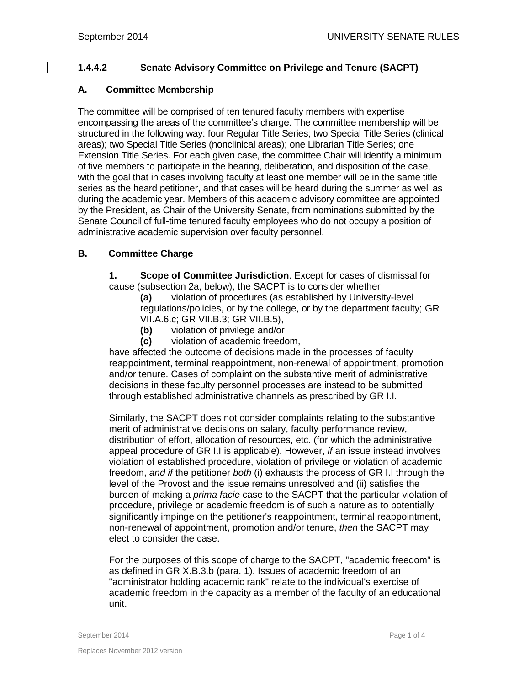## **1.4.4.2 Senate Advisory Committee on Privilege and Tenure (SACPT)**

## **A. Committee Membership**

The committee will be comprised of ten tenured faculty members with expertise encompassing the areas of the committee's charge. The committee membership will be structured in the following way: four Regular Title Series; two Special Title Series (clinical areas); two Special Title Series (nonclinical areas); one Librarian Title Series; one Extension Title Series. For each given case, the committee Chair will identify a minimum of five members to participate in the hearing, deliberation, and disposition of the case, with the goal that in cases involving faculty at least one member will be in the same title series as the heard petitioner, and that cases will be heard during the summer as well as during the academic year. Members of this academic advisory committee are appointed by the President, as Chair of the University Senate, from nominations submitted by the Senate Council of full-time tenured faculty employees who do not occupy a position of administrative academic supervision over faculty personnel.

## **B. Committee Charge**

**1. Scope of Committee Jurisdiction**. Except for cases of dismissal for cause (subsection 2a, below), the SACPT is to consider whether

**(a)** violation of procedures (as established by University-level regulations/policies, or by the college, or by the department faculty; GR VII.A.6.c; GR VII.B.3; GR VII.B.5),

- **(b)** violation of privilege and/or
- **(c)** violation of academic freedom,

have affected the outcome of decisions made in the processes of faculty reappointment, terminal reappointment, non-renewal of appointment, promotion and/or tenure. Cases of complaint on the substantive merit of administrative decisions in these faculty personnel processes are instead to be submitted through established administrative channels as prescribed by GR I.I.

Similarly, the SACPT does not consider complaints relating to the substantive merit of administrative decisions on salary, faculty performance review, distribution of effort, allocation of resources, etc. (for which the administrative appeal procedure of GR I.I is applicable). However, *if* an issue instead involves violation of established procedure, violation of privilege or violation of academic freedom, *and if* the petitioner *both* (i) exhausts the process of GR I.I through the level of the Provost and the issue remains unresolved and (ii) satisfies the burden of making a *prima facie* case to the SACPT that the particular violation of procedure, privilege or academic freedom is of such a nature as to potentially significantly impinge on the petitioner's reappointment, terminal reappointment, non-renewal of appointment, promotion and/or tenure, *then* the SACPT may elect to consider the case.

For the purposes of this scope of charge to the SACPT, "academic freedom" is as defined in GR X.B.3.b (para. 1). Issues of academic freedom of an "administrator holding academic rank" relate to the individual's exercise of academic freedom in the capacity as a member of the faculty of an educational unit.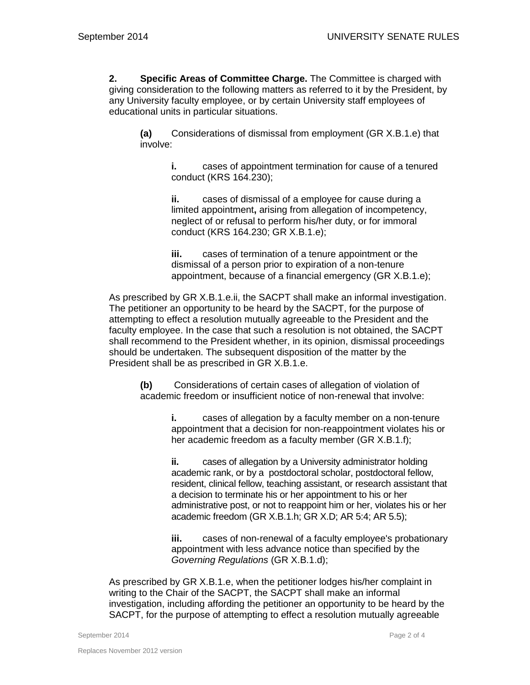**2. Specific Areas of Committee Charge.** The Committee is charged with giving consideration to the following matters as referred to it by the President, by any University faculty employee, or by certain University staff employees of educational units in particular situations.

**(a)** Considerations of dismissal from employment (GR X.B.1.e) that involve:

> **i.** cases of appointment termination for cause of a tenured conduct (KRS 164.230);

**ii.** cases of dismissal of a employee for cause during a limited appointment**,** arising from allegation of incompetency, neglect of or refusal to perform his/her duty, or for immoral conduct (KRS 164.230; GR X.B.1.e);

**iii.** cases of termination of a tenure appointment or the dismissal of a person prior to expiration of a non-tenure appointment, because of a financial emergency (GR X.B.1.e);

As prescribed by GR X.B.1.e.ii, the SACPT shall make an informal investigation. The petitioner an opportunity to be heard by the SACPT, for the purpose of attempting to effect a resolution mutually agreeable to the President and the faculty employee. In the case that such a resolution is not obtained, the SACPT shall recommend to the President whether, in its opinion, dismissal proceedings should be undertaken. The subsequent disposition of the matter by the President shall be as prescribed in GR X.B.1.e.

**(b)** Considerations of certain cases of allegation of violation of academic freedom or insufficient notice of non-renewal that involve:

> **i.** cases of allegation by a faculty member on a non-tenure appointment that a decision for non-reappointment violates his or her academic freedom as a faculty member (GR X.B.1.f);

**ii.** cases of allegation by a University administrator holding academic rank, or by a postdoctoral scholar, postdoctoral fellow, resident, clinical fellow, teaching assistant, or research assistant that a decision to terminate his or her appointment to his or her administrative post, or not to reappoint him or her, violates his or her academic freedom (GR X.B.1.h; GR X.D; AR 5:4; AR 5.5);

**iii.** cases of non-renewal of a faculty employee's probationary appointment with less advance notice than specified by the *Governing Regulations* (GR X.B.1.d);

As prescribed by GR X.B.1.e, when the petitioner lodges his/her complaint in writing to the Chair of the SACPT, the SACPT shall make an informal investigation, including affording the petitioner an opportunity to be heard by the SACPT, for the purpose of attempting to effect a resolution mutually agreeable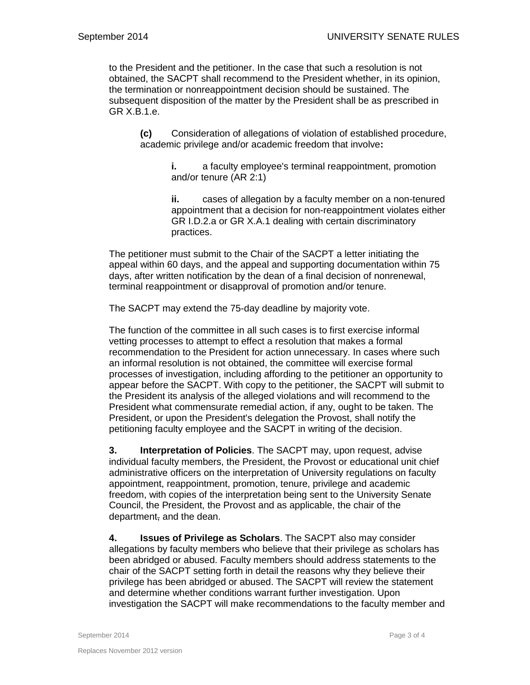to the President and the petitioner. In the case that such a resolution is not obtained, the SACPT shall recommend to the President whether, in its opinion, the termination or nonreappointment decision should be sustained. The subsequent disposition of the matter by the President shall be as prescribed in GR X.B.1.e.

**(c)** Consideration of allegations of violation of established procedure, academic privilege and/or academic freedom that involve**:**

> **i.** a faculty employee's terminal reappointment, promotion and/or tenure (AR 2:1)

**ii.** cases of allegation by a faculty member on a non-tenured appointment that a decision for non-reappointment violates either GR I.D.2.a or GR X.A.1 dealing with certain discriminatory practices.

The petitioner must submit to the Chair of the SACPT a letter initiating the appeal within 60 days, and the appeal and supporting documentation within 75 days, after written notification by the dean of a final decision of nonrenewal, terminal reappointment or disapproval of promotion and/or tenure.

The SACPT may extend the 75-day deadline by majority vote.

The function of the committee in all such cases is to first exercise informal vetting processes to attempt to effect a resolution that makes a formal recommendation to the President for action unnecessary. In cases where such an informal resolution is not obtained, the committee will exercise formal processes of investigation, including affording to the petitioner an opportunity to appear before the SACPT. With copy to the petitioner, the SACPT will submit to the President its analysis of the alleged violations and will recommend to the President what commensurate remedial action, if any, ought to be taken. The President, or upon the President's delegation the Provost, shall notify the petitioning faculty employee and the SACPT in writing of the decision.

**3. Interpretation of Policies**. The SACPT may, upon request, advise individual faculty members, the President, the Provost or educational unit chief administrative officers on the interpretation of University regulations on faculty appointment, reappointment, promotion, tenure, privilege and academic freedom, with copies of the interpretation being sent to the University Senate Council, the President, the Provost and as applicable, the chair of the department, and the dean.

**4. Issues of Privilege as Scholars**. The SACPT also may consider allegations by faculty members who believe that their privilege as scholars has been abridged or abused. Faculty members should address statements to the chair of the SACPT setting forth in detail the reasons why they believe their privilege has been abridged or abused. The SACPT will review the statement and determine whether conditions warrant further investigation. Upon investigation the SACPT will make recommendations to the faculty member and